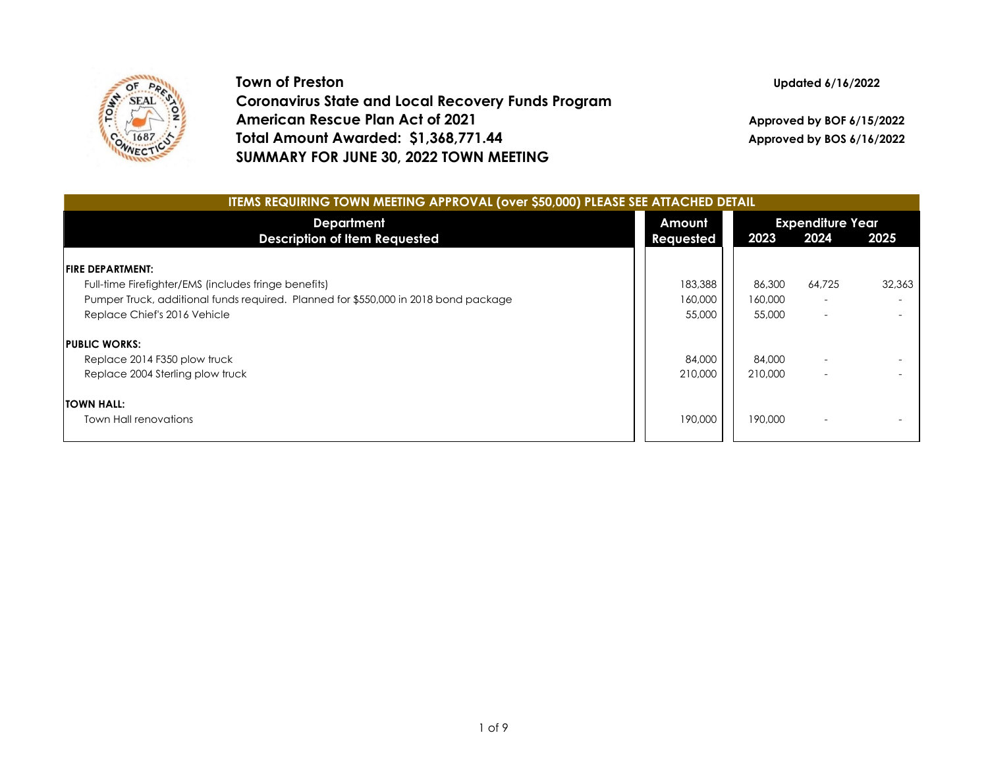

**Town of Preston Coronavirus State and Local Recovery Funds Program American Rescue Plan Act of 2021 Total Amount Awarded: \$1,368,771.44 SUMMARY FOR JUNE 30, 2022 TOWN MEETING**

**Updated 6/16/2022**

**Approved by BOF 6/15/2022 Approved by BOS 6/16/2022**

| <b>ITEMS REQUIRING TOWN MEETING APPROVAL (over \$50,000) PLEASE SEE ATTACHED DETAIL</b> |                     |         |                                 |        |  |  |  |  |
|-----------------------------------------------------------------------------------------|---------------------|---------|---------------------------------|--------|--|--|--|--|
| <b>Department</b><br><b>Description of Item Requested</b>                               | Amount<br>Requested | 2023    | <b>Expenditure Year</b><br>2024 | 2025   |  |  |  |  |
|                                                                                         |                     |         |                                 |        |  |  |  |  |
| <b>FIRE DEPARTMENT:</b>                                                                 |                     |         |                                 |        |  |  |  |  |
| Full-time Firefighter/EMS (includes fringe benefits)                                    | 183,388             | 86,300  | 64,725                          | 32,363 |  |  |  |  |
| Pumper Truck, additional funds required. Planned for \$550,000 in 2018 bond package     | 160,000             | 160,000 | $\overline{\phantom{a}}$        |        |  |  |  |  |
| Replace Chief's 2016 Vehicle                                                            | 55,000              | 55,000  | $\overline{\phantom{a}}$        |        |  |  |  |  |
| <b>PUBLIC WORKS:</b>                                                                    |                     |         |                                 |        |  |  |  |  |
| Replace 2014 F350 plow truck                                                            | 84,000              | 84,000  |                                 |        |  |  |  |  |
| Replace 2004 Sterling plow truck                                                        | 210,000             | 210,000 | $\overline{\phantom{a}}$        |        |  |  |  |  |
| <b>TOWN HALL:</b>                                                                       |                     |         |                                 |        |  |  |  |  |
| Town Hall renovations                                                                   | 190,000             | 190,000 |                                 |        |  |  |  |  |
|                                                                                         |                     |         |                                 |        |  |  |  |  |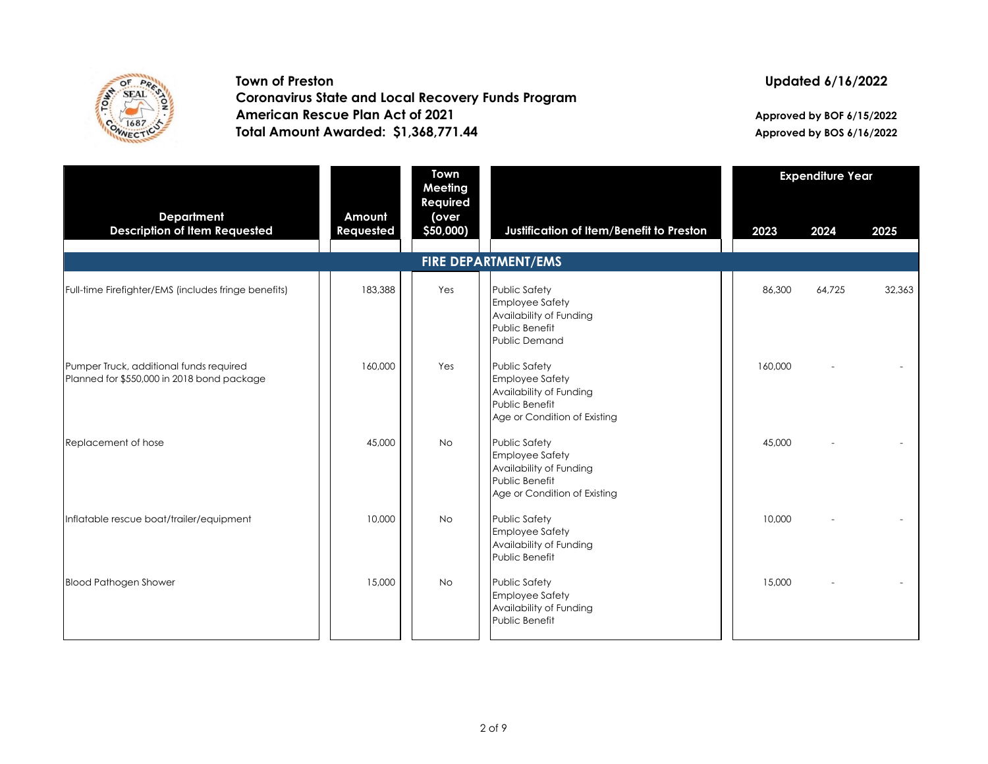

**Town of Preston Coronavirus State and Local Recovery Funds Program American Rescue Plan Act of 2021 Total Amount Awarded: \$1,368,771.44**

## **Updated 6/16/2022**

**Approved by BOF 6/15/2022 Approved by BOS 6/16/2022**

|                                                                                       |                     | <b>Town</b><br>Meeting         | <b>Expenditure Year</b>                                                                                                     |         |        |        |
|---------------------------------------------------------------------------------------|---------------------|--------------------------------|-----------------------------------------------------------------------------------------------------------------------------|---------|--------|--------|
| <b>Department</b><br><b>Description of Item Requested</b>                             | Amount<br>Requested | Required<br>(over<br>\$50,000) | Justification of Item/Benefit to Preston                                                                                    | 2023    | 2024   | 2025   |
|                                                                                       |                     |                                | <b>FIRE DEPARTMENT/EMS</b>                                                                                                  |         |        |        |
| Full-time Firefighter/EMS (includes fringe benefits)                                  | 183,388             | Yes                            | <b>Public Safety</b><br><b>Employee Safety</b><br>Availability of Funding<br>Public Benefit<br>Public Demand                | 86,300  | 64,725 | 32,363 |
| Pumper Truck, additional funds required<br>Planned for \$550,000 in 2018 bond package | 160,000             | Yes                            | <b>Public Safety</b><br><b>Employee Safety</b><br>Availability of Funding<br>Public Benefit<br>Age or Condition of Existing | 160,000 |        |        |
| Replacement of hose                                                                   | 45,000              | <b>No</b>                      | <b>Public Safety</b><br><b>Employee Safety</b><br>Availability of Funding<br>Public Benefit<br>Age or Condition of Existing | 45,000  |        |        |
| Inflatable rescue boat/trailer/equipment                                              | 10,000              | <b>No</b>                      | <b>Public Safety</b><br><b>Employee Safety</b><br>Availability of Funding<br>Public Benefit                                 | 10,000  |        |        |
| <b>Blood Pathogen Shower</b>                                                          | 15,000              | <b>No</b>                      | <b>Public Safety</b><br><b>Employee Safety</b><br>Availability of Funding<br>Public Benefit                                 | 15,000  |        |        |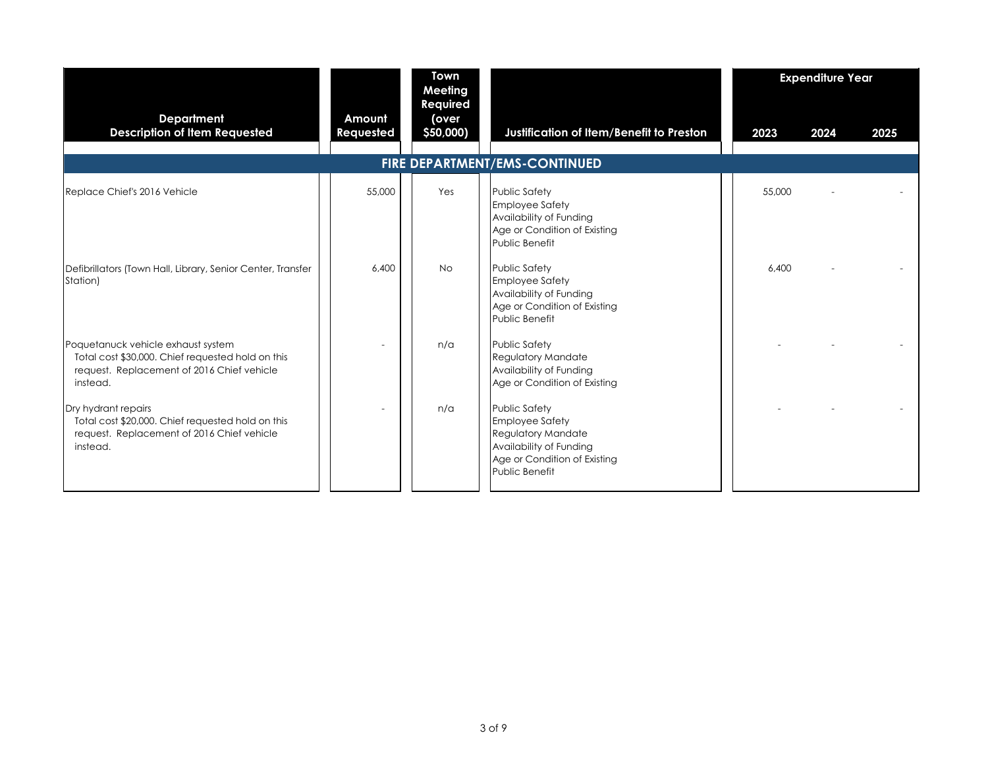|                                                                                                                                                   |                     | <b>Town</b><br>Meeting         |                                                                                                                                                          |        | <b>Expenditure Year</b> |      |
|---------------------------------------------------------------------------------------------------------------------------------------------------|---------------------|--------------------------------|----------------------------------------------------------------------------------------------------------------------------------------------------------|--------|-------------------------|------|
| <b>Department</b><br><b>Description of Item Requested</b>                                                                                         | Amount<br>Requested | Required<br>(over<br>\$50,000) | Justification of Item/Benefit to Preston<br>FIRE DEPARTMENT/EMS-CONTINUED                                                                                | 2023   | 2024                    | 2025 |
| Replace Chief's 2016 Vehicle                                                                                                                      | 55,000              | Yes                            | <b>Public Safety</b><br><b>Employee Safety</b><br>Availability of Funding<br>Age or Condition of Existing<br>Public Benefit                              | 55,000 |                         |      |
| Defibrillators (Town Hall, Library, Senior Center, Transfer<br>Station)                                                                           | 6,400               | <b>No</b>                      | <b>Public Safety</b><br><b>Employee Safety</b><br>Availability of Funding<br>Age or Condition of Existing<br>Public Benefit                              | 6.400  |                         |      |
| Poquetanuck vehicle exhaust system<br>Total cost \$30,000. Chief requested hold on this<br>request. Replacement of 2016 Chief vehicle<br>instead. |                     | n/a                            | <b>Public Safety</b><br><b>Regulatory Mandate</b><br>Availability of Funding<br>Age or Condition of Existing                                             |        |                         |      |
| Dry hydrant repairs<br>Total cost \$20,000. Chief requested hold on this<br>request. Replacement of 2016 Chief vehicle<br>instead.                |                     | n/a                            | <b>Public Safety</b><br><b>Employee Safety</b><br><b>Regulatory Mandate</b><br>Availability of Funding<br>Age or Condition of Existing<br>Public Benefit |        |                         |      |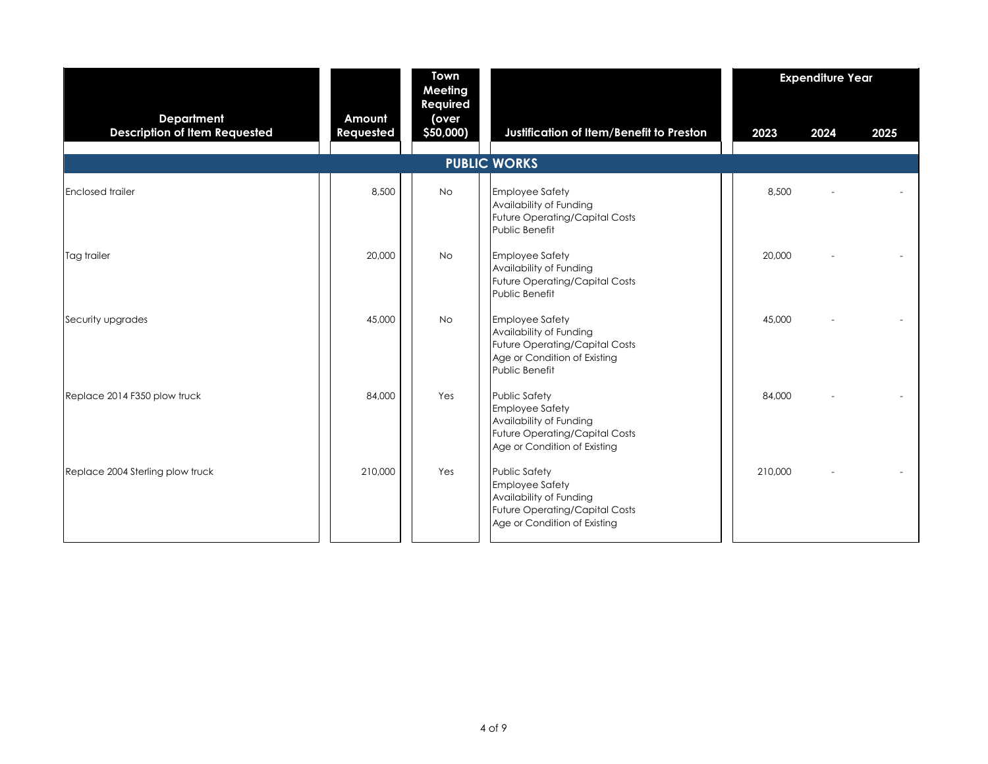|                                                           |                     | Town<br>Meeting                |                                                                                                                                                    |         | <b>Expenditure Year</b> |      |
|-----------------------------------------------------------|---------------------|--------------------------------|----------------------------------------------------------------------------------------------------------------------------------------------------|---------|-------------------------|------|
| <b>Department</b><br><b>Description of Item Requested</b> | Amount<br>Requested | Required<br>(over<br>\$50,000) | Justification of Item/Benefit to Preston                                                                                                           | 2023    | 2024                    | 2025 |
|                                                           |                     |                                | <b>PUBLIC WORKS</b>                                                                                                                                |         |                         |      |
| <b>Enclosed trailer</b>                                   | 8,500               | No.                            | <b>Employee Safety</b><br>Availability of Funding<br><b>Future Operating/Capital Costs</b><br>Public Benefit                                       | 8,500   |                         |      |
| Tag trailer                                               | 20,000              | <b>No</b>                      | <b>Employee Safety</b><br>Availability of Funding<br><b>Future Operating/Capital Costs</b><br>Public Benefit                                       | 20,000  |                         |      |
| Security upgrades                                         | 45,000              | No.                            | <b>Employee Safety</b><br>Availability of Funding<br><b>Future Operating/Capital Costs</b><br>Age or Condition of Existing<br>Public Benefit       | 45,000  |                         |      |
| Replace 2014 F350 plow truck                              | 84,000              | Yes                            | <b>Public Safety</b><br><b>Employee Safety</b><br>Availability of Funding<br><b>Future Operating/Capital Costs</b><br>Age or Condition of Existing | 84,000  |                         |      |
| Replace 2004 Sterling plow truck                          | 210,000             | Yes                            | <b>Public Safety</b><br><b>Employee Safety</b><br>Availability of Funding<br><b>Future Operating/Capital Costs</b><br>Age or Condition of Existing | 210,000 |                         |      |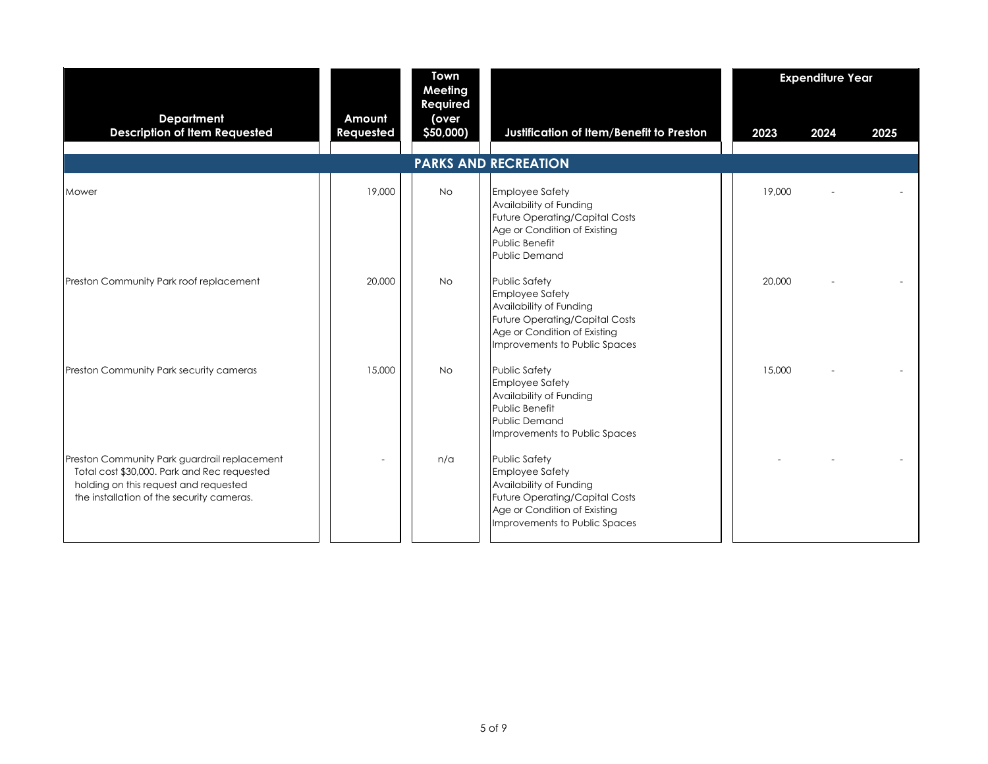|                                                                                                                                                                                   |                     | Town<br>Meeting                |                                                                                                                                                                              |        | <b>Expenditure Year</b> |      |
|-----------------------------------------------------------------------------------------------------------------------------------------------------------------------------------|---------------------|--------------------------------|------------------------------------------------------------------------------------------------------------------------------------------------------------------------------|--------|-------------------------|------|
| <b>Department</b><br><b>Description of Item Requested</b>                                                                                                                         | Amount<br>Requested | Required<br>(over<br>\$50,000) | Justification of Item/Benefit to Preston                                                                                                                                     | 2023   | 2024                    | 2025 |
|                                                                                                                                                                                   |                     |                                | <b>PARKS AND RECREATION</b>                                                                                                                                                  |        |                         |      |
| Mower                                                                                                                                                                             | 19,000              | <b>No</b>                      | <b>Employee Safety</b><br>Availability of Funding<br><b>Future Operating/Capital Costs</b><br>Age or Condition of Existing<br>Public Benefit<br><b>Public Demand</b>         | 19,000 |                         |      |
| Preston Community Park roof replacement                                                                                                                                           | 20,000              | <b>No</b>                      | Public Safety<br><b>Employee Safety</b><br>Availability of Funding<br><b>Future Operating/Capital Costs</b><br>Age or Condition of Existing<br>Improvements to Public Spaces | 20,000 |                         |      |
| Preston Community Park security cameras                                                                                                                                           | 15,000              | <b>No</b>                      | <b>Public Safety</b><br><b>Employee Safety</b><br>Availability of Funding<br>Public Benefit<br><b>Public Demand</b><br>Improvements to Public Spaces                         | 15,000 |                         |      |
| Preston Community Park guardrail replacement<br>Total cost \$30,000. Park and Rec requested<br>holding on this request and requested<br>the installation of the security cameras. |                     | n/a                            | Public Safety<br><b>Employee Safety</b><br>Availability of Funding<br>Future Operating/Capital Costs<br>Age or Condition of Existing<br>Improvements to Public Spaces        |        |                         |      |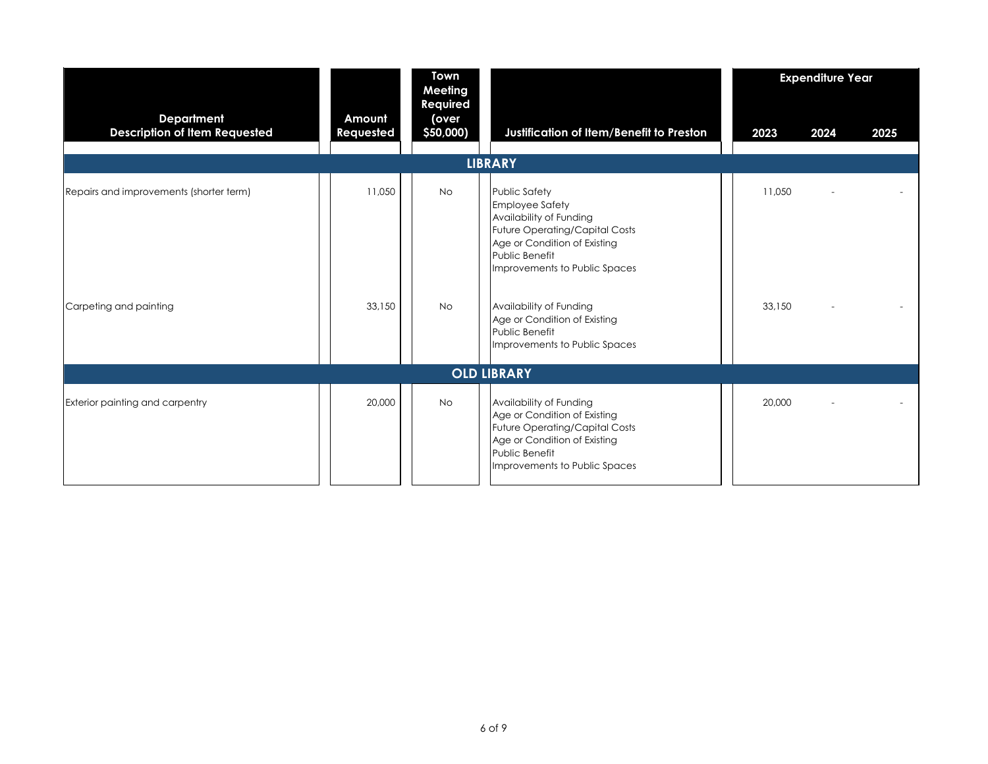|                                                           |                     | Town<br>Meeting                |                                                                                                                                                                                                |        | <b>Expenditure Year</b> |      |
|-----------------------------------------------------------|---------------------|--------------------------------|------------------------------------------------------------------------------------------------------------------------------------------------------------------------------------------------|--------|-------------------------|------|
| <b>Department</b><br><b>Description of Item Requested</b> | Amount<br>Requested | Required<br>(over<br>\$50,000) | Justification of Item/Benefit to Preston<br><b>LIBRARY</b>                                                                                                                                     | 2023   | 2024                    | 2025 |
| Repairs and improvements (shorter term)                   | 11,050              | <b>No</b>                      | Public Safety<br><b>Employee Safety</b><br>Availability of Funding<br><b>Future Operating/Capital Costs</b><br>Age or Condition of Existing<br>Public Benefit<br>Improvements to Public Spaces | 11.050 |                         |      |
| Carpeting and painting                                    | 33,150              | <b>No</b>                      | Availability of Funding<br>Age or Condition of Existing<br>Public Benefit<br>Improvements to Public Spaces                                                                                     | 33,150 |                         |      |
|                                                           |                     |                                | <b>OLD LIBRARY</b>                                                                                                                                                                             |        |                         |      |
| Exterior painting and carpentry                           | 20,000              | <b>No</b>                      | Availability of Funding<br>Age or Condition of Existing<br><b>Future Operating/Capital Costs</b><br>Age or Condition of Existing<br>Public Benefit<br>Improvements to Public Spaces            | 20,000 |                         |      |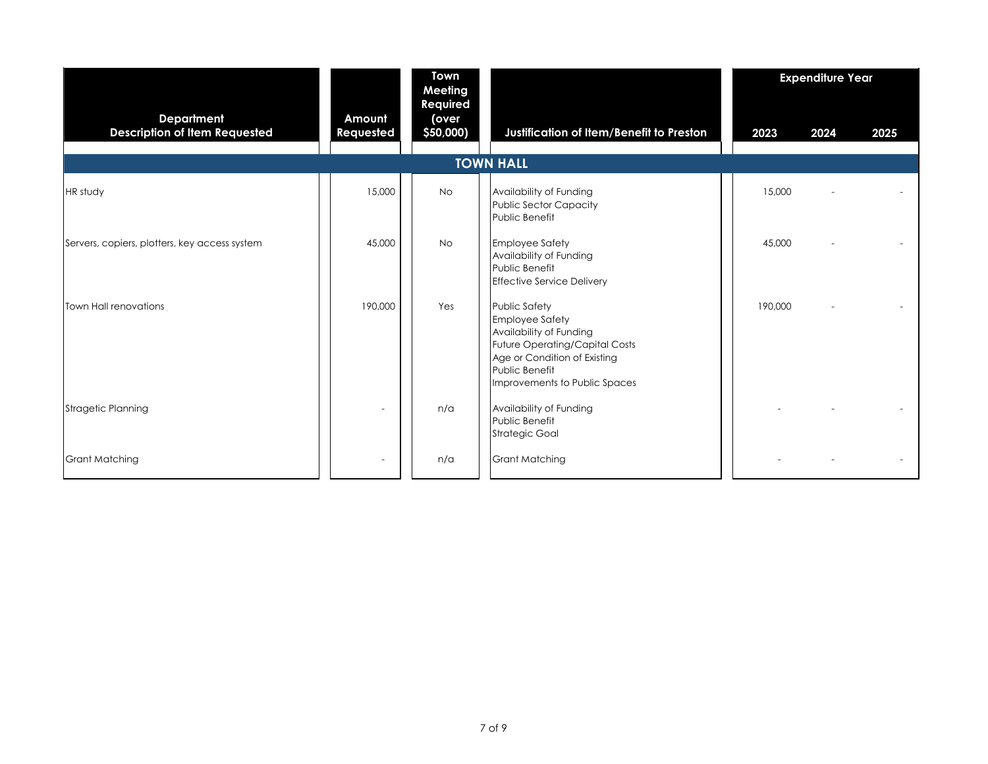|                                                           |                     | <b>Town</b><br>Meeting         |                                                                                                                                                                                                              |         | <b>Expenditure Year</b> |      |
|-----------------------------------------------------------|---------------------|--------------------------------|--------------------------------------------------------------------------------------------------------------------------------------------------------------------------------------------------------------|---------|-------------------------|------|
| <b>Department</b><br><b>Description of Item Requested</b> | Amount<br>Requested | Required<br>(over<br>\$50,000) | Justification of Item/Benefit to Preston                                                                                                                                                                     | 2023    | 2024                    | 2025 |
|                                                           |                     |                                | <b>TOWN HALL</b>                                                                                                                                                                                             |         |                         |      |
| <b>HR</b> study                                           | 15,000              | <b>No</b>                      | Availability of Funding<br>Public Sector Capacity<br>Public Benefit                                                                                                                                          | 15,000  |                         |      |
| Servers, copiers, plotters, key access system             | 45,000              | <b>No</b>                      | <b>Employee Safety</b><br>Availability of Funding<br>Public Benefit<br><b>Effective Service Delivery</b>                                                                                                     | 45,000  |                         |      |
| Town Hall renovations                                     | 190,000             | Yes                            | <b>Public Safety</b><br><b>Employee Safety</b><br>Availability of Funding<br><b>Future Operating/Capital Costs</b><br>Age or Condition of Existing<br><b>Public Benefit</b><br>Improvements to Public Spaces | 190,000 |                         |      |
| <b>Stragetic Planning</b>                                 |                     | n/a                            | Availability of Funding<br>Public Benefit<br><b>Strategic Goal</b>                                                                                                                                           |         |                         |      |
| <b>Grant Matching</b>                                     |                     | n/a                            | <b>Grant Matching</b>                                                                                                                                                                                        |         |                         |      |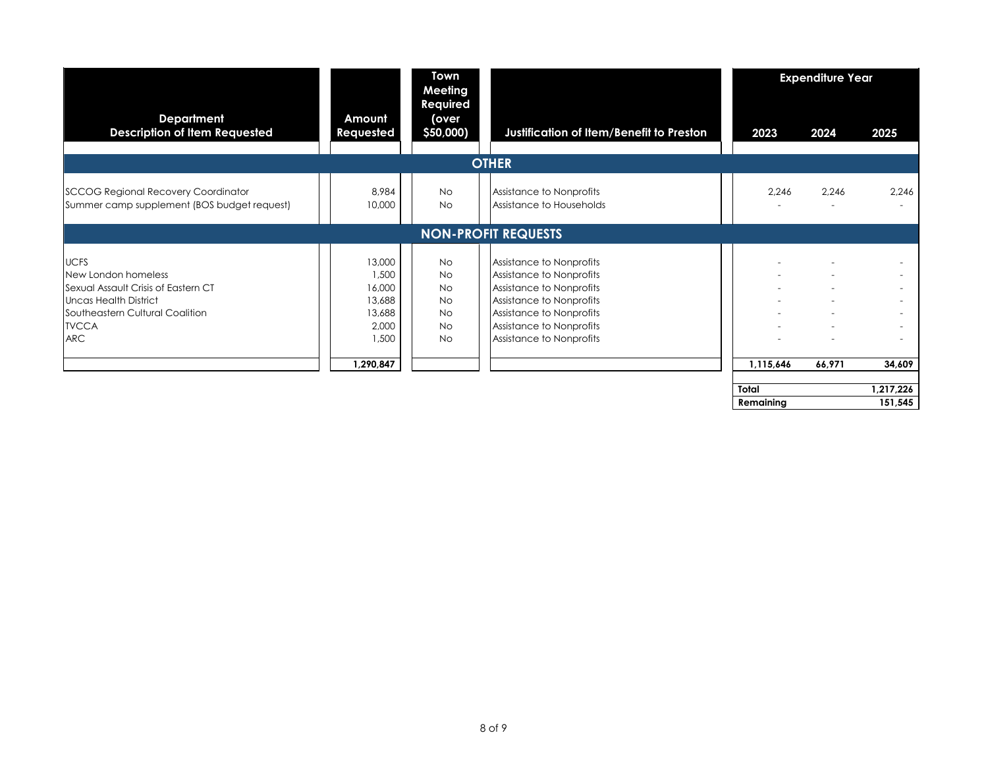|                                                                                                                                                                     |                                                                              | <b>Town</b><br>Meeting                                                                  |                                                                                                                                                                                                  |            | <b>Expenditure Year</b> |           |
|---------------------------------------------------------------------------------------------------------------------------------------------------------------------|------------------------------------------------------------------------------|-----------------------------------------------------------------------------------------|--------------------------------------------------------------------------------------------------------------------------------------------------------------------------------------------------|------------|-------------------------|-----------|
| <b>Department</b><br><b>Description of Item Requested</b>                                                                                                           | Amount<br>Requested                                                          | Required<br>(over<br>\$50,000)                                                          | Justification of Item/Benefit to Preston                                                                                                                                                         | 2023       | 2024                    | 2025      |
|                                                                                                                                                                     |                                                                              |                                                                                         | <b>OTHER</b>                                                                                                                                                                                     |            |                         |           |
| <b>SCCOG Regional Recovery Coordinator</b><br>Summer camp supplement (BOS budget request)                                                                           | 8,984<br>10,000                                                              | <b>No</b><br><b>No</b>                                                                  | Assistance to Nonprofits<br>Assistance to Households                                                                                                                                             | 2,246<br>۰ | 2,246                   | 2,246     |
|                                                                                                                                                                     |                                                                              |                                                                                         | <b>NON-PROFIT REQUESTS</b>                                                                                                                                                                       |            |                         |           |
| <b>UCFS</b><br>New London homeless<br>Sexual Assault Crisis of Eastern CT<br>Uncas Health District<br>Southeastern Cultural Coalition<br><b>TVCCA</b><br><b>ARC</b> | 13,000<br>1,500<br>16,000<br>13,688<br>13,688<br>2,000<br>1,500<br>1,290,847 | <b>No</b><br><b>No</b><br><b>No</b><br><b>No</b><br><b>No</b><br><b>No</b><br><b>No</b> | Assistance to Nonprofits<br>Assistance to Nonprofits<br>Assistance to Nonprofits<br>Assistance to Nonprofits<br>Assistance to Nonprofits<br>Assistance to Nonprofits<br>Assistance to Nonprofits | 1,115,646  | 66,971                  | 34.609    |
|                                                                                                                                                                     |                                                                              |                                                                                         |                                                                                                                                                                                                  | Total      |                         | 1,217,226 |
|                                                                                                                                                                     |                                                                              |                                                                                         |                                                                                                                                                                                                  | Remaining  |                         | 151,545   |